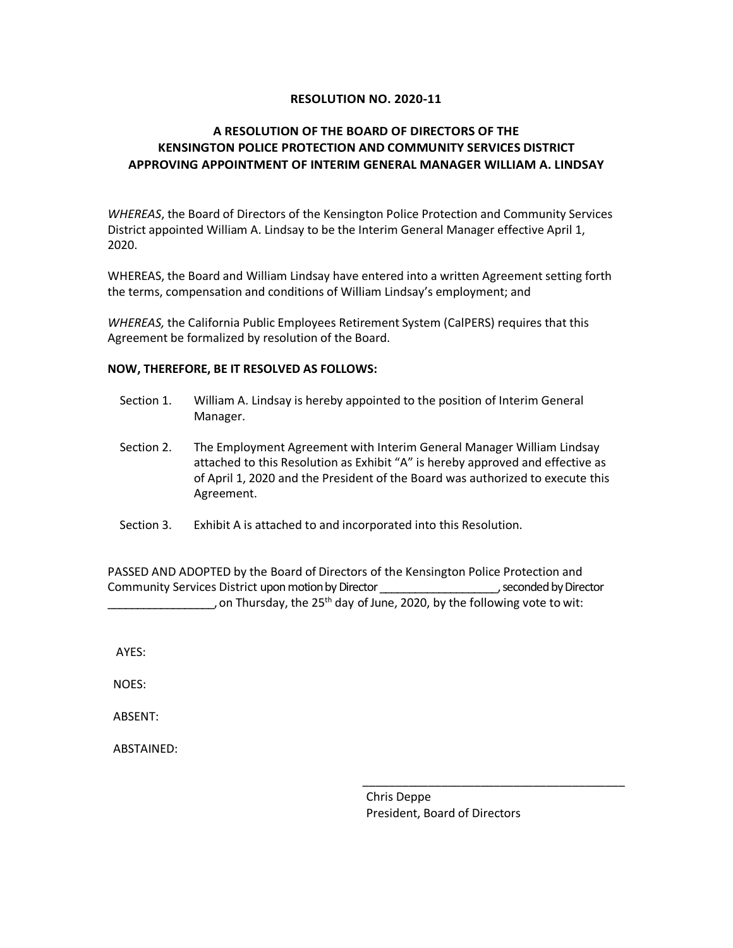## **RESOLUTION NO. 2020-11**

## **A RESOLUTION OF THE BOARD OF DIRECTORS OF THE KENSINGTON POLICE PROTECTION AND COMMUNITY SERVICES DISTRICT APPROVING APPOINTMENT OF INTERIM GENERAL MANAGER WILLIAM A. LINDSAY**

*WHEREAS*, the Board of Directors of the Kensington Police Protection and Community Services District appointed William A. Lindsay to be the Interim General Manager effective April 1, 2020.

WHEREAS, the Board and William Lindsay have entered into a written Agreement setting forth the terms, compensation and conditions of William Lindsay's employment; and

*WHEREAS,* the California Public Employees Retirement System (CalPERS) requires that this Agreement be formalized by resolution of the Board.

## **NOW, THEREFORE, BE IT RESOLVED AS FOLLOWS:**

- Section 1. William A. Lindsay is hereby appointed to the position of Interim General Manager.
- Section 2. The Employment Agreement with Interim General Manager William Lindsay attached to this Resolution as Exhibit "A" is hereby approved and effective as of April 1, 2020 and the President of the Board was authorized to execute this Agreement.
- Section 3. Exhibit A is attached to and incorporated into this Resolution.

PASSED AND ADOPTED by the Board of Directors of the Kensington Police Protection and Community Services District upon motion by Director \_\_\_\_\_\_\_\_\_\_\_\_\_\_\_\_\_\_\_\_, seconded by Director , on Thursday, the 25<sup>th</sup> day of June, 2020, by the following vote to wit:

AYES:

NOES:

ABSENT:

ABSTAINED:

Chris Deppe President, Board of Directors

\_\_\_\_\_\_\_\_\_\_\_\_\_\_\_\_\_\_\_\_\_\_\_\_\_\_\_\_\_\_\_\_\_\_\_\_\_\_\_\_